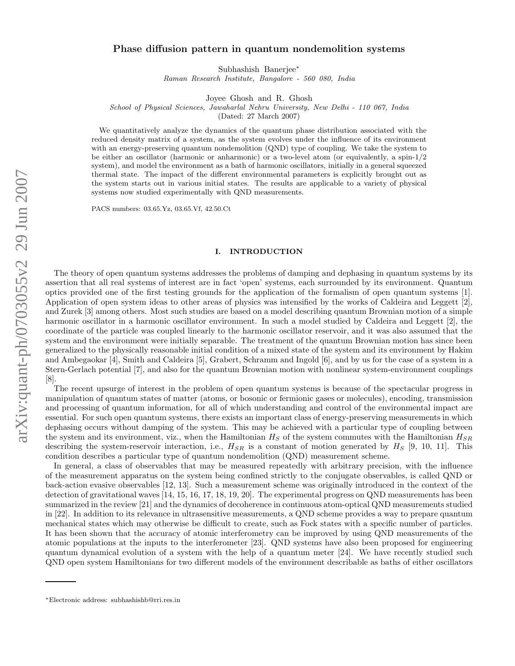# Phase diffusion pattern in quantum nondemolition systems

Subhashish Banerjee ∗

Raman Research Institute, Bangalore - 560 080, India

Joyee Ghosh and R. Ghosh

School of Physical Sciences, Jawaharlal Nehru University, New Delhi - 110 067, India

(Dated: 27 March 2007)

We quantitatively analyze the dynamics of the quantum phase distribution associated with the reduced density matrix of a system, as the system evolves under the influence of its environment with an energy-preserving quantum nondemolition (QND) type of coupling. We take the system to be either an oscillator (harmonic or anharmonic) or a two-level atom (or equivalently, a spin-1/2 system), and model the environment as a bath of harmonic oscillators, initially in a general squeezed thermal state. The impact of the different environmental parameters is explicitly brought out as the system starts out in various initial states. The results are applicable to a variety of physical systems now studied experimentally with QND measurements.

PACS numbers: 03.65.Yz, 03.65.Vf, 42.50.Ct

### I. INTRODUCTION

The theory of open quantum systems addresses the problems of damping and dephasing in quantum systems by its assertion that all real systems of interest are in fact 'open' systems, each surrounded by its environment. Quantum optics provided one of the first testing grounds for the application of the formalism of open quantum systems [1]. Application of open system ideas to other areas of physics was intensified by the works of Caldeira and Leggett [2], and Zurek [3] among others. Most such studies are based on a model describing quantum Brownian motion of a simple harmonic oscillator in a harmonic oscillator environment. In such a model studied by Caldeira and Leggett [2], the coordinate of the particle was coupled linearly to the harmonic oscillator reservoir, and it was also assumed that the system and the environment were initially separable. The treatment of the quantum Brownian motion has since been generalized to the physically reasonable initial condition of a mixed state of the system and its environment by Hakim and Ambegaokar [4], Smith and Caldeira [5], Grabert, Schramm and Ingold [6], and by us for the case of a system in a Stern-Gerlach potential [7], and also for the quantum Brownian motion with nonlinear system-environment couplings [8].

The recent upsurge of interest in the problem of open quantum systems is because of the spectacular progress in manipulation of quantum states of matter (atoms, or bosonic or fermionic gases or molecules), encoding, transmission and processing of quantum information, for all of which understanding and control of the environmental impact are essential. For such open quantum systems, there exists an important class of energy-preserving measurements in which dephasing occurs without damping of the system. This may be achieved with a particular type of coupling between the system and its environment, viz., when the Hamiltonian  $H_S$  of the system commutes with the Hamiltonian  $H_{SR}$ describing the system-reservoir interaction, i.e.,  $H_{SR}$  is a constant of motion generated by  $H_S$  [9, 10, 11]. This condition describes a particular type of quantum nondemolition (QND) measurement scheme.

In general, a class of observables that may be measured repeatedly with arbitrary precision, with the influence of the measurement apparatus on the system being confined strictly to the conjugate observables, is called QND or back-action evasive observables [12, 13]. Such a measurement scheme was originally introduced in the context of the detection of gravitational waves [14, 15, 16, 17, 18, 19, 20]. The experimental progress on QND measurements has been summarized in the review [21] and the dynamics of decoherence in continuous atom-optical QND measurements studied in [22]. In addition to its relevance in ultrasensitive measurements, a QND scheme provides a way to prepare quantum mechanical states which may otherwise be difficult to create, such as Fock states with a specific number of particles. It has been shown that the accuracy of atomic interferometry can be improved by using QND measurements of the atomic populations at the inputs to the interferometer [23]. QND systems have also been proposed for engineering quantum dynamical evolution of a system with the help of a quantum meter [24]. We have recently studied such QND open system Hamiltonians for two different models of the environment describable as baths of either oscillators

<sup>∗</sup>Electronic address: subhashishb@rri.res.in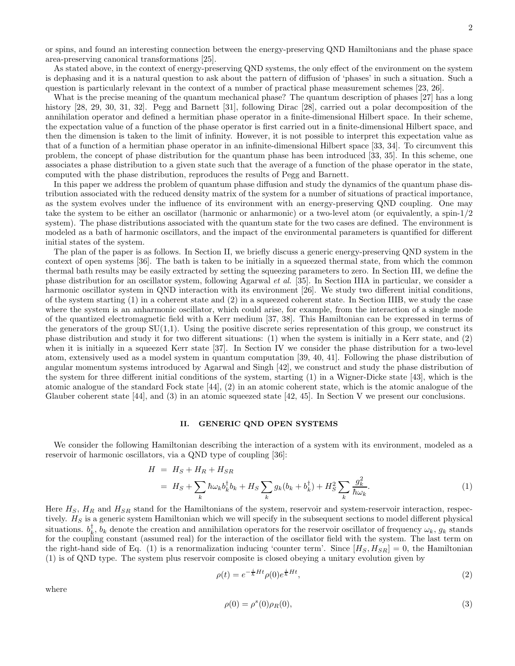2

or spins, and found an interesting connection between the energy-preserving QND Hamiltonians and the phase space area-preserving canonical transformations [25].

As stated above, in the context of energy-preserving QND systems, the only effect of the environment on the system is dephasing and it is a natural question to ask about the pattern of diffusion of 'phases' in such a situation. Such a question is particularly relevant in the context of a number of practical phase measurement schemes [23, 26].

What is the precise meaning of the quantum mechanical phase? The quantum description of phases [27] has a long history [28, 29, 30, 31, 32]. Pegg and Barnett [31], following Dirac [28], carried out a polar decomposition of the annihilation operator and defined a hermitian phase operator in a finite-dimensional Hilbert space. In their scheme, the expectation value of a function of the phase operator is first carried out in a finite-dimensional Hilbert space, and then the dimension is taken to the limit of infinity. However, it is not possible to interpret this expectation value as that of a function of a hermitian phase operator in an infinite-dimensional Hilbert space [33, 34]. To circumvent this problem, the concept of phase distribution for the quantum phase has been introduced [33, 35]. In this scheme, one associates a phase distribution to a given state such that the average of a function of the phase operator in the state, computed with the phase distribution, reproduces the results of Pegg and Barnett.

In this paper we address the problem of quantum phase diffusion and study the dynamics of the quantum phase distribution associated with the reduced density matrix of the system for a number of situations of practical importance, as the system evolves under the influence of its environment with an energy-preserving QND coupling. One may take the system to be either an oscillator (harmonic or anharmonic) or a two-level atom (or equivalently, a spin-1/2 system). The phase distributions associated with the quantum state for the two cases are defined. The environment is modeled as a bath of harmonic oscillators, and the impact of the environmental parameters is quantified for different initial states of the system.

The plan of the paper is as follows. In Section II, we briefly discuss a generic energy-preserving QND system in the context of open systems [36]. The bath is taken to be initially in a squeezed thermal state, from which the common thermal bath results may be easily extracted by setting the squeezing parameters to zero. In Section III, we define the phase distribution for an oscillator system, following Agarwal et al. [35]. In Section IIIA in particular, we consider a harmonic oscillator system in QND interaction with its environment [26]. We study two different initial conditions, of the system starting  $(1)$  in a coherent state and  $(2)$  in a squeezed coherent state. In Section IIIB, we study the case where the system is an anharmonic oscillator, which could arise, for example, from the interaction of a single mode of the quantized electromagnetic field with a Kerr medium [37, 38]. This Hamiltonian can be expressed in terms of the generators of the group  $SU(1,1)$ . Using the positive discrete series representation of this group, we construct its phase distribution and study it for two different situations: (1) when the system is initially in a Kerr state, and (2) when it is initially in a squeezed Kerr state [37]. In Section IV we consider the phase distribution for a two-level atom, extensively used as a model system in quantum computation [39, 40, 41]. Following the phase distribution of angular momentum systems introduced by Agarwal and Singh [42], we construct and study the phase distribution of the system for three different initial conditions of the system, starting (1) in a Wigner-Dicke state [43], which is the atomic analogue of the standard Fock state [44], (2) in an atomic coherent state, which is the atomic analogue of the Glauber coherent state [44], and (3) in an atomic squeezed state [42, 45]. In Section V we present our conclusions.

#### II. GENERIC QND OPEN SYSTEMS

We consider the following Hamiltonian describing the interaction of a system with its environment, modeled as a reservoir of harmonic oscillators, via a QND type of coupling [36]:

$$
H = HS + HR + HSR
$$
  
=  $HS + \sum_{k} \hbar \omega_{k} b_{k}^{\dagger} b_{k} + HS \sum_{k} g_{k} (b_{k} + b_{k}^{\dagger}) + HS2 \sum_{k} \frac{g_{k}^{2}}{\hbar \omega_{k}}$ . (1)

Here  $H_S$ ,  $H_R$  and  $H_{SR}$  stand for the Hamiltonians of the system, reservoir and system-reservoir interaction, respectively.  $H<sub>S</sub>$  is a generic system Hamiltonian which we will specify in the subsequent sections to model different physical situations.  $b_k^{\dagger}$ ,  $b_k$  denote the creation and annihilation operators for the reservoir oscillator of frequency  $\omega_k$ ,  $g_k$  stands for the coupling constant (assumed real) for the interaction of the oscillator field with the system. The last term on the right-hand side of Eq. (1) is a renormalization inducing 'counter term'. Since  $[H_S, H_{SR}] = 0$ , the Hamiltonian (1) is of QND type. The system plus reservoir composite is closed obeying a unitary evolution given by

$$
\rho(t) = e^{-\frac{i}{\hbar}Ht} \rho(0) e^{\frac{i}{\hbar}Ht},\tag{2}
$$

where

$$
\rho(0) = \rho^s(0)\rho_R(0),\tag{3}
$$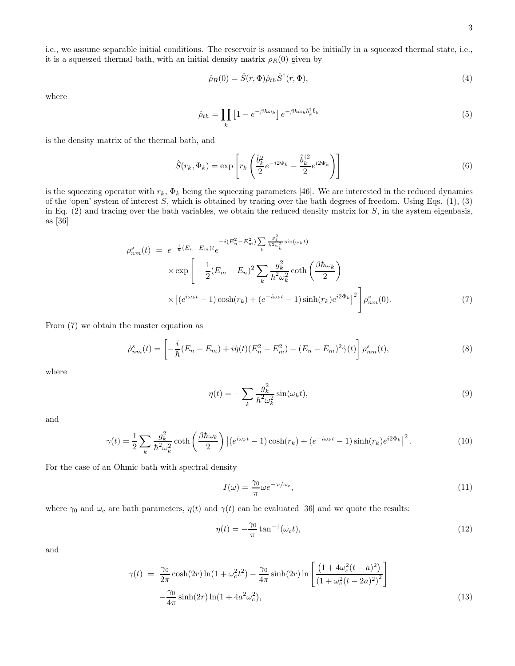i.e., we assume separable initial conditions. The reservoir is assumed to be initially in a squeezed thermal state, i.e., it is a squeezed thermal bath, with an initial density matrix  $\rho_R(0)$  given by

$$
\hat{\rho}_R(0) = \hat{S}(r, \Phi)\hat{\rho}_{th}\hat{S}^{\dagger}(r, \Phi),\tag{4}
$$

where

$$
\hat{\rho}_{th} = \prod_{k} \left[ 1 - e^{-\beta \hbar \omega_k} \right] e^{-\beta \hbar \omega_k \hat{b}_k^{\dagger} \hat{b}_k} \tag{5}
$$

is the density matrix of the thermal bath, and

$$
\hat{S}(r_k, \Phi_k) = \exp\left[r_k \left(\frac{\hat{b}_k^2}{2} e^{-i2\Phi_k} - \frac{\hat{b}_k^{\dagger 2}}{2} e^{i2\Phi_k}\right)\right]
$$
\n(6)

is the squeezing operator with  $r_k$ ,  $\Phi_k$  being the squeezing parameters [46]. We are interested in the reduced dynamics of the 'open' system of interest S, which is obtained by tracing over the bath degrees of freedom. Using Eqs.  $(1)$ ,  $(3)$ in Eq.  $(2)$  and tracing over the bath variables, we obtain the reduced density matrix for  $S$ , in the system eigenbasis, as [36]

$$
\rho_{nm}^s(t) = e^{-\frac{i}{\hbar}(E_n - E_m)t} e^{-i(E_n^2 - E_m^2) \sum_k \frac{g_k^2}{\hbar^2 \omega_k^2} \sin(\omega_k t)}
$$
  
 
$$
\times \exp\left[ -\frac{1}{2}(E_m - E_n)^2 \sum_k \frac{g_k^2}{\hbar^2 \omega_k^2} \coth\left(\frac{\beta \hbar \omega_k}{2}\right) \right]
$$
  
 
$$
\times \left| (e^{i\omega_k t} - 1) \cosh(r_k) + (e^{-i\omega_k t} - 1) \sinh(r_k) e^{i2\Phi_k} \right|^2 \right] \rho_{nm}^s(0).
$$
 (7)

From (7) we obtain the master equation as

$$
\dot{\rho}_{nm}^s(t) = \left[ -\frac{i}{\hbar}(E_n - E_m) + i\dot{\eta}(t)(E_n^2 - E_m^2) - (E_n - E_m)^2 \dot{\gamma}(t) \right] \rho_{nm}^s(t),\tag{8}
$$

where

$$
\eta(t) = -\sum_{k} \frac{g_k^2}{\hbar^2 \omega_k^2} \sin(\omega_k t),\tag{9}
$$

and

$$
\gamma(t) = \frac{1}{2} \sum_{k} \frac{g_k^2}{\hbar^2 \omega_k^2} \coth\left(\frac{\beta \hbar \omega_k}{2}\right) \left| (e^{i\omega_k t} - 1) \cosh(r_k) + (e^{-i\omega_k t} - 1) \sinh(r_k) e^{i2\Phi_k} \right|^2. \tag{10}
$$

For the case of an Ohmic bath with spectral density

$$
I(\omega) = \frac{\gamma_0}{\pi} \omega e^{-\omega/\omega_c},\tag{11}
$$

where  $\gamma_0$  and  $\omega_c$  are bath parameters,  $\eta(t)$  and  $\gamma(t)$  can be evaluated [36] and we quote the results:

$$
\eta(t) = -\frac{\gamma_0}{\pi} \tan^{-1}(\omega_c t),\tag{12}
$$

and

$$
\gamma(t) = \frac{\gamma_0}{2\pi} \cosh(2r) \ln(1 + \omega_c^2 t^2) - \frac{\gamma_0}{4\pi} \sinh(2r) \ln\left[\frac{(1 + 4\omega_c^2 (t - a)^2)}{(1 + \omega_c^2 (t - 2a)^2)^2}\right] - \frac{\gamma_0}{4\pi} \sinh(2r) \ln(1 + 4a^2 \omega_c^2),
$$
\n(13)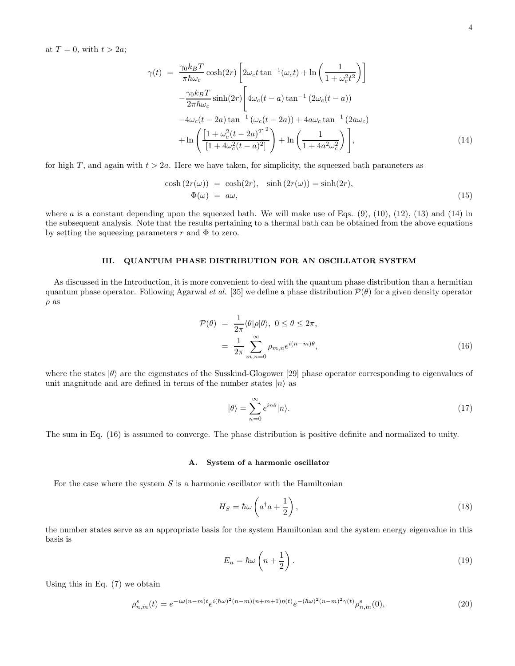at  $T = 0$ , with  $t > 2a$ ;

$$
\gamma(t) = \frac{\gamma_0 k_B T}{\pi \hbar \omega_c} \cosh(2r) \left[ 2\omega_c t \tan^{-1}(\omega_c t) + \ln\left(\frac{1}{1 + \omega_c^2 t^2}\right) \right]
$$

$$
-\frac{\gamma_0 k_B T}{2\pi \hbar \omega_c} \sinh(2r) \left[ 4\omega_c (t - a) \tan^{-1} (2\omega_c (t - a)) -4\omega_c (t - 2a) \tan^{-1} (\omega_c (t - 2a)) + 4a\omega_c \tan^{-1} (2a\omega_c) + \ln\left(\frac{\left[1 + \omega_c^2 (t - 2a)^2\right]^2}{\left[1 + 4\omega_c^2 (t - a)^2\right]} \right) + \ln\left(\frac{1}{1 + 4a^2 \omega_c^2}\right) \right],
$$
(14)

for high T, and again with  $t > 2a$ . Here we have taken, for simplicity, the squeezed bath parameters as

$$
\cosh(2r(\omega)) = \cosh(2r), \quad \sinh(2r(\omega)) = \sinh(2r),
$$
  
\n
$$
\Phi(\omega) = a\omega, \tag{15}
$$

where a is a constant depending upon the squeezed bath. We will make use of Eqs.  $(9)$ ,  $(10)$ ,  $(12)$ ,  $(13)$  and  $(14)$  in the subsequent analysis. Note that the results pertaining to a thermal bath can be obtained from the above equations by setting the squeezing parameters r and  $\Phi$  to zero.

### III. QUANTUM PHASE DISTRIBUTION FOR AN OSCILLATOR SYSTEM

As discussed in the Introduction, it is more convenient to deal with the quantum phase distribution than a hermitian quantum phase operator. Following Agarwal et al. [35] we define a phase distribution  $\mathcal{P}(\theta)$  for a given density operator  $\rho$  as

$$
\mathcal{P}(\theta) = \frac{1}{2\pi} \langle \theta | \rho | \theta \rangle, \ 0 \le \theta \le 2\pi,
$$
  
= 
$$
\frac{1}{2\pi} \sum_{m,n=0}^{\infty} \rho_{m,n} e^{i(n-m)\theta}, \tag{16}
$$

where the states  $|\theta\rangle$  are the eigenstates of the Susskind-Glogower [29] phase operator corresponding to eigenvalues of unit magnitude and are defined in terms of the number states  $|n\rangle$  as

$$
|\theta\rangle = \sum_{n=0}^{\infty} e^{in\theta} |n\rangle.
$$
 (17)

The sum in Eq. (16) is assumed to converge. The phase distribution is positive definite and normalized to unity.

## A. System of a harmonic oscillator

For the case where the system  $S$  is a harmonic oscillator with the Hamiltonian

$$
H_S = \hbar\omega \left( a^\dagger a + \frac{1}{2} \right),\tag{18}
$$

the number states serve as an appropriate basis for the system Hamiltonian and the system energy eigenvalue in this basis is

$$
E_n = \hbar\omega\left(n + \frac{1}{2}\right). \tag{19}
$$

Using this in Eq. (7) we obtain

$$
\rho_{n,m}^s(t) = e^{-i\omega(n-m)t} e^{i(\hbar\omega)^2(n-m)(n+m+1)\eta(t)} e^{-(\hbar\omega)^2(n-m)^2\gamma(t)} \rho_{n,m}^s(0),\tag{20}
$$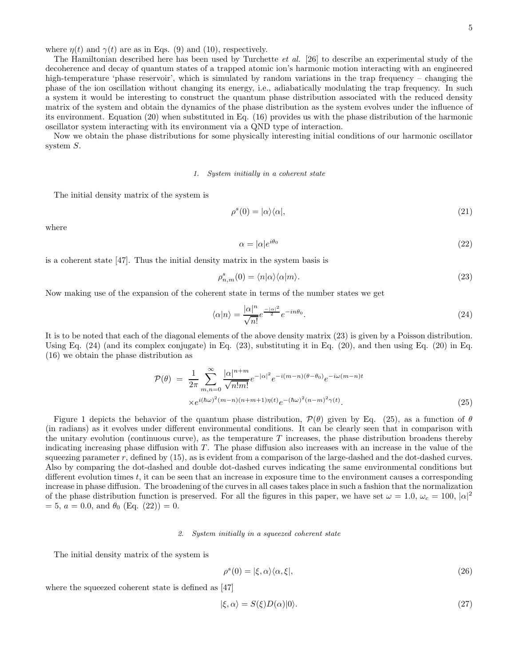where  $\eta(t)$  and  $\gamma(t)$  are as in Eqs. (9) and (10), respectively.

The Hamiltonian described here has been used by Turchette et al. [26] to describe an experimental study of the decoherence and decay of quantum states of a trapped atomic ion's harmonic motion interacting with an engineered high-temperature 'phase reservoir', which is simulated by random variations in the trap frequency – changing the phase of the ion oscillation without changing its energy, i.e., adiabatically modulating the trap frequency. In such a system it would be interesting to construct the quantum phase distribution associated with the reduced density matrix of the system and obtain the dynamics of the phase distribution as the system evolves under the influence of its environment. Equation (20) when substituted in Eq. (16) provides us with the phase distribution of the harmonic oscillator system interacting with its environment via a QND type of interaction.

Now we obtain the phase distributions for some physically interesting initial conditions of our harmonic oscillator system S.

# 1. System initially in a coherent state

The initial density matrix of the system is

$$
\rho^s(0) = |\alpha\rangle\langle\alpha|,\tag{21}
$$

where

$$
\alpha = |\alpha|e^{i\theta_0} \tag{22}
$$

is a coherent state [47]. Thus the initial density matrix in the system basis is

$$
\rho_{n,m}^s(0) = \langle n|\alpha\rangle\langle\alpha|m\rangle. \tag{23}
$$

Now making use of the expansion of the coherent state in terms of the number states we get

$$
\langle \alpha | n \rangle = \frac{|\alpha|^n}{\sqrt{n!}} e^{-\frac{|\alpha|^2}{2}} e^{-in\theta_0}.
$$
 (24)

It is to be noted that each of the diagonal elements of the above density matrix (23) is given by a Poisson distribution. Using Eq. (24) (and its complex conjugate) in Eq. (23), substituting it in Eq. (20), and then using Eq. (20) in Eq. (16) we obtain the phase distribution as

$$
\mathcal{P}(\theta) = \frac{1}{2\pi} \sum_{m,n=0}^{\infty} \frac{|\alpha|^{n+m}}{\sqrt{n!m!}} e^{-|\alpha|^2} e^{-i(m-n)(\theta - \theta_0)} e^{-i\omega(m-n)t} \times e^{i(\hbar\omega)^2(m-n)(n+m+1)\eta(t)} e^{-(\hbar\omega)^2(n-m)^2 \gamma(t)}.
$$
\n(25)

Figure 1 depicts the behavior of the quantum phase distribution,  $\mathcal{P}(\theta)$  given by Eq. (25), as a function of  $\theta$ (in radians) as it evolves under different environmental conditions. It can be clearly seen that in comparison with the unitary evolution (continuous curve), as the temperature  $T$  increases, the phase distribution broadens thereby indicating increasing phase diffusion with  $T$ . The phase diffusion also increases with an increase in the value of the squeezing parameter r, defined by (15), as is evident from a comparison of the large-dashed and the dot-dashed curves. Also by comparing the dot-dashed and double dot-dashed curves indicating the same environmental conditions but different evolution times  $t$ , it can be seen that an increase in exposure time to the environment causes a corresponding increase in phase diffusion. The broadening of the curves in all cases takes place in such a fashion that the normalization of the phase distribution function is preserved. For all the figures in this paper, we have set  $\omega = 1.0$ ,  $\omega_c = 100$ ,  $|\alpha|^2$  $= 5, a = 0.0, \text{ and } \theta_0 \text{ (Eq. (22))} = 0.$ 

#### 2. System initially in a squeezed coherent state

The initial density matrix of the system is

$$
\rho^s(0) = |\xi, \alpha\rangle\langle\alpha, \xi|,\tag{26}
$$

where the squeezed coherent state is defined as [47]

$$
|\xi,\alpha\rangle = S(\xi)D(\alpha)|0\rangle. \tag{27}
$$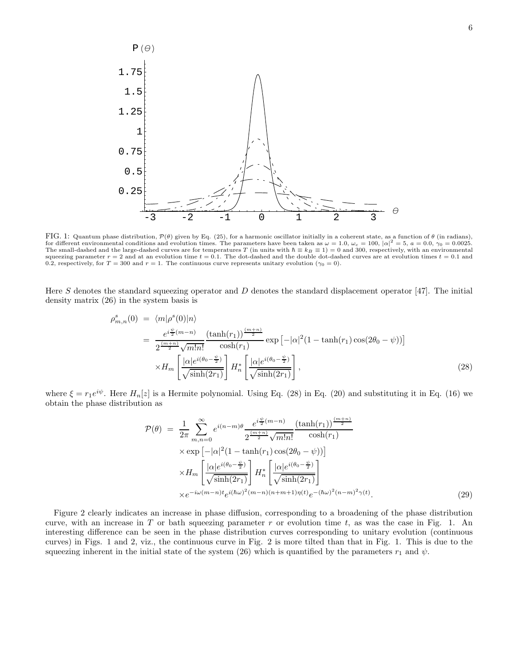

FIG. 1: Quantum phase distribution,  $\mathcal{P}(\theta)$  given by Eq. (25), for a harmonic oscillator initially in a coherent state, as a function of  $\theta$  (in radians), for different environmental conditions and evolution times. T The small-dashed and the large-dashed curves are for temperatures T (in units with  $\hbar \equiv k_B \equiv 1$ ) = 0 and 300, respectively, with an environmental squeezing parameter  $r = 2$  and at an evolution time  $t = 0.1$ . The dot-dashed and the double dot-dashed curves are at evolution times  $t = 0.1$  and 0.2, respectively, for  $T = 300$  and  $r = 1$ . The continuous curve represents unitary evolution  $(\gamma_0 = 0)$ .

Here S denotes the standard squeezing operator and D denotes the standard displacement operator [47]. The initial density matrix (26) in the system basis is

$$
\rho_{m,n}^s(0) = \langle m | \rho^s(0) | n \rangle \n= \frac{e^{i\frac{\psi}{2}(m-n)}}{2^{\frac{(m+n)}{2}}\sqrt{m!n!}} \frac{(\tanh(r_1))^{\frac{(m+n)}{2}}}{\cosh(r_1)} \exp\left[-|\alpha|^2(1-\tanh(r_1)\cos(2\theta_0-\psi))\right] \n\times H_m \left[\frac{|\alpha|e^{i(\theta_0-\frac{\psi}{2})}}{\sqrt{\sinh(2r_1)}}\right] H_n^* \left[\frac{|\alpha|e^{i(\theta_0-\frac{\psi}{2})}}{\sqrt{\sinh(2r_1)}}\right],
$$
\n(28)

where  $\xi = r_1 e^{i\psi}$ . Here  $H_n[z]$  is a Hermite polynomial. Using Eq. (28) in Eq. (20) and substituting it in Eq. (16) we obtain the phase distribution as

$$
\mathcal{P}(\theta) = \frac{1}{2\pi} \sum_{m,n=0}^{\infty} e^{i(n-m)\theta} \frac{e^{i\frac{\psi}{2}(m-n)}}{2^{\frac{(m+n)}{2}} \sqrt{m!n!}} \frac{(\tanh(r_1))^{\frac{(m+n)}{2}}}{\cosh(r_1)} \times \exp\left[-|\alpha|^2 (1-\tanh(r_1)\cos(2\theta_0-\psi))\right] \times H_m \left[\frac{|\alpha|e^{i(\theta_0-\frac{\psi}{2})}}{\sqrt{\sinh(2r_1)}}\right] H_n^* \left[\frac{|\alpha|e^{i(\theta_0-\frac{\psi}{2})}}{\sqrt{\sinh(2r_1)}}\right] \times e^{-i\omega(m-n)t} e^{i(\hbar\omega)^2(m-n)(n+m+1)\eta(t)} e^{-(\hbar\omega)^2(n-m)^2 \gamma(t)}.
$$
\n(29)

Figure 2 clearly indicates an increase in phase diffusion, corresponding to a broadening of the phase distribution curve, with an increase in T or bath squeezing parameter  $r$  or evolution time  $t$ , as was the case in Fig. 1. An interesting difference can be seen in the phase distribution curves corresponding to unitary evolution (continuous curves) in Figs. 1 and 2, viz., the continuous curve in Fig. 2 is more tilted than that in Fig. 1. This is due to the squeezing inherent in the initial state of the system (26) which is quantified by the parameters  $r_1$  and  $\psi$ .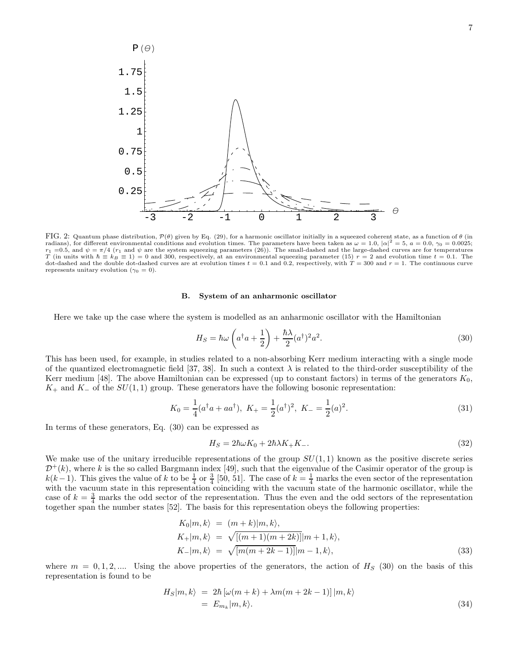

FIG. 2: Quantum phase distribution,  $\mathcal{P}(\theta)$  given by Eq. (29), for a harmonic oscillator initially in a squeezed coherent state, as a function of  $\theta$  (in radians), for different environmental conditions and evolution times. The parameters have been taken as  $\omega = 1.0$ ,  $|\alpha|^2 = 5$ ,  $a = 0.0$ ,  $\gamma_0 = 0.0025$ ;  $r_1 = 0.5$ , and  $\psi = \pi/4$  ( $r_1$  and  $\psi$  are the system squeezing parameters (26)). The small-dashed and the large-dashed curves are for temperatures T (in units with  $\hbar \equiv k_B \equiv 1$ ) = 0 and 300, respectively, at an envir dot-dashed and the double dot-dashed curves are at evolution times  $t = 0.1$  and 0.2, respectively, with  $T = 300$  and  $r = 1$ . The continuous curve represents unitary evolution ( $\gamma_0 = 0$ ).

#### B. System of an anharmonic oscillator

Here we take up the case where the system is modelled as an anharmonic oscillator with the Hamiltonian

$$
H_S = \hbar\omega \left( a^\dagger a + \frac{1}{2} \right) + \frac{\hbar\lambda}{2} (a^\dagger)^2 a^2.
$$
 (30)

This has been used, for example, in studies related to a non-absorbing Kerr medium interacting with a single mode of the quantized electromagnetic field [37, 38]. In such a context  $\lambda$  is related to the third-order susceptibility of the Kerr medium [48]. The above Hamiltonian can be expressed (up to constant factors) in terms of the generators  $K_0$ ,  $K_+$  and  $K_-\,$  of the  $SU(1,1)$  group. These generators have the following bosonic representation:

$$
K_0 = \frac{1}{4}(a^\dagger a + a a^\dagger), \ K_+ = \frac{1}{2}(a^\dagger)^2, \ K_- = \frac{1}{2}(a)^2.
$$
 (31)

In terms of these generators, Eq. (30) can be expressed as

$$
H_S = 2\hbar\omega K_0 + 2\hbar\lambda K_+ K_-.
$$
\n(32)

We make use of the unitary irreducible representations of the group  $SU(1,1)$  known as the positive discrete series  $\mathcal{D}^+(k)$ , where k is the so called Bargmann index [49], such that the eigenvalue of the Casimir operator of the group is  $k(k-1)$ . This gives the value of k to be  $\frac{1}{4}$  or  $\frac{3}{4}$  [50, 51]. The case of  $k=\frac{1}{4}$  marks the even sector of the representation with the vacuum state in this representation coinciding with the vacuum state of the harmonic oscillator, while the case of  $k = \frac{3}{4}$  marks the odd sector of the representation. Thus the even and the odd sectors of the representation together span the number states [52]. The basis for this representation obeys the following properties:

$$
K_0|m, k\rangle = (m+k)|m, k\rangle, K_+|m, k\rangle = \sqrt{[(m+1)(m+2k)]}|m+1, k\rangle, K_-|m, k\rangle = \sqrt{[m(m+2k-1)]}|m-1, k\rangle, \tag{33}
$$

where  $m = 0, 1, 2, ...$  Using the above properties of the generators, the action of  $H<sub>S</sub>$  (30) on the basis of this representation is found to be

$$
H_S|m, k\rangle = 2\hbar \left[ \omega(m+k) + \lambda m(m+2k-1) \right] |m, k\rangle
$$
  
=  $E_{m_k}|m, k\rangle$ . (34)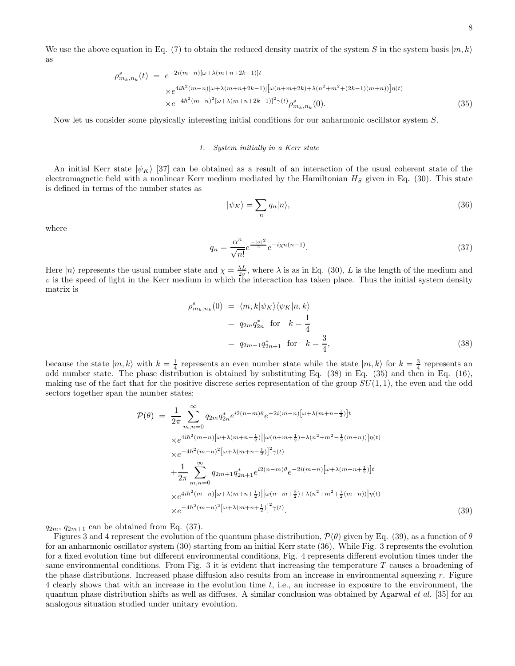We use the above equation in Eq. (7) to obtain the reduced density matrix of the system S in the system basis  $|m, k\rangle$ as

$$
\rho_{m_k,n_k}^s(t) = e^{-2i(m-n)[\omega + \lambda(m+n+2k-1)]t} \times e^{4i\hbar^2(m-n)[\omega + \lambda(m+n+2k-1)][\omega(n+m+2k)+\lambda(n^2+m^2+(2k-1)(m+n))] \eta(t)} \times e^{-4\hbar^2(m-n)^2[\omega + \lambda(m+n+2k-1)]^2 \gamma(t)} \rho_{m_k,n_k}^s(0).
$$
\n(35)

Now let us consider some physically interesting initial conditions for our anharmonic oscillator system S.

# 1. System initially in a Kerr state

An initial Kerr state  $|\psi_K\rangle$  [37] can be obtained as a result of an interaction of the usual coherent state of the electromagnetic field with a nonlinear Kerr medium mediated by the Hamiltonian  $H<sub>S</sub>$  given in Eq. (30). This state is defined in terms of the number states as

$$
|\psi_K\rangle = \sum_n q_n |n\rangle,\tag{36}
$$

where

$$
q_n = \frac{\alpha^n}{\sqrt{n!}} e^{\frac{-|\alpha|^2}{2}} e^{-i\chi n(n-1)}.
$$
 (37)

Here  $|n\rangle$  represents the usual number state and  $\chi = \frac{\lambda L}{2v}$ , where  $\lambda$  is as in Eq. (30), L is the length of the medium and  $v$  is the speed of light in the Kerr medium in which the interaction has taken place. Thus the initial system density matrix is

$$
\rho_{m_k, n_k}^s(0) = \langle m, k | \psi_K \rangle \langle \psi_K | n, k \rangle
$$
  
=  $q_{2m} q_{2n}^*$  for  $k = \frac{1}{4}$   
=  $q_{2m+1} q_{2n+1}^*$  for  $k = \frac{3}{4}$ , (38)

because the state  $|m, k\rangle$  with  $k = \frac{1}{4}$  represents an even number state while the state  $|m, k\rangle$  for  $k = \frac{3}{4}$  represents an odd number state. The phase distribution is obtained by substituting Eq. (38) in Eq. (35) and then in Eq. (16), making use of the fact that for the positive discrete series representation of the group  $SU(1,1)$ , the even and the odd sectors together span the number states:

$$
\mathcal{P}(\theta) = \frac{1}{2\pi} \sum_{m,n=0}^{\infty} q_{2m} q_{2n}^{*} e^{i2(n-m)\theta} e^{-2i(m-n)\left[\omega + \lambda(m+n-\frac{1}{2})\right]t} \times e^{4i\hbar^{2}(m-n)\left[\omega + \lambda(m+n-\frac{1}{2})\right] \left[\omega(n+m+\frac{1}{2}) + \lambda(n^{2}+m^{2}-\frac{1}{2}(m+n))\right] \eta(t)} \times e^{-4\hbar^{2}(m-n)^{2}\left[\omega + \lambda(m+n-\frac{1}{2})\right]^{2} \gamma(t)} \n+ \frac{1}{2\pi} \sum_{m,n=0}^{\infty} q_{2m+1} q_{2n+1}^{*} e^{i2(n-m)\theta} e^{-2i(m-n)\left[\omega + \lambda(m+n+\frac{1}{2})\right]t} \times e^{4i\hbar^{2}(m-n)\left[\omega + \lambda(m+n+\frac{1}{2})\right] \left[\omega(n+m+\frac{3}{2}) + \lambda(n^{2}+m^{2}+\frac{1}{2}(m+n))\right] \eta(t)} \times e^{-4\hbar^{2}(m-n)^{2}\left[\omega + \lambda(m+n+\frac{1}{2})\right]^{2} \gamma(t)}.
$$
\n(39)

 $q_{2m}, q_{2m+1}$  can be obtained from Eq. (37).

Figures 3 and 4 represent the evolution of the quantum phase distribution,  $\mathcal{P}(\theta)$  given by Eq. (39), as a function of  $\theta$ for an anharmonic oscillator system (30) starting from an initial Kerr state (36). While Fig. 3 represents the evolution for a fixed evolution time but different environmental conditions, Fig. 4 represents different evolution times under the same environmental conditions. From Fig. 3 it is evident that increasing the temperature T causes a broadening of the phase distributions. Increased phase diffusion also results from an increase in environmental squeezing  $r$ . Figure 4 clearly shows that with an increase in the evolution time t, i.e., an increase in exposure to the environment, the quantum phase distribution shifts as well as diffuses. A similar conclusion was obtained by Agarwal *et al.* [35] for an analogous situation studied under unitary evolution.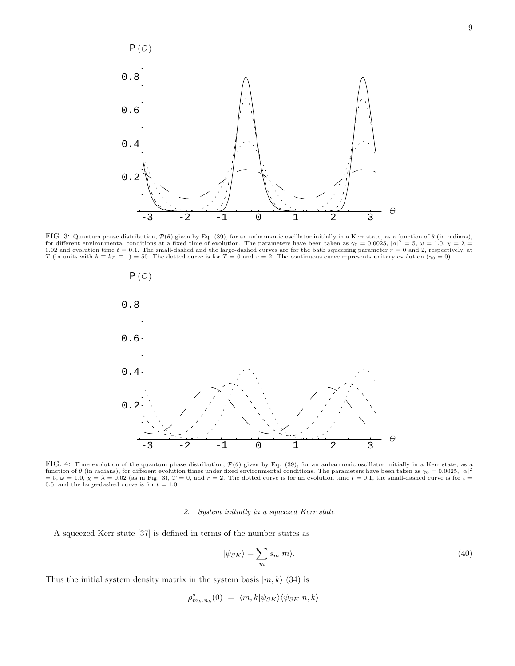

FIG. 3: Quantum phase distribution,  $\mathcal{P}(\theta)$  given by Eq. (39), for an anharmonic oscillator initially in a Kerr state, as a function of  $\theta$  (in radians), for different environmental conditions at a fixed time of evolution. The parameters have been taken as  $\gamma_0 = 0.0025$ ,  $|\alpha|^2 = 5$ ,  $\omega = 1.0$ ,  $\chi = \lambda = 0.02$  and evolution time  $t = 0.1$ . The small-dashed and the large-dashed T (in units with  $\hbar \equiv k_B \equiv 1$ ) = 50. The dotted curve is for  $T = 0$  and  $r = 2$ . The continuous curve represents unitary evolution ( $\gamma_0 = 0$ ).



FIG. 4: Time evolution of the quantum phase distribution,  $\mathcal{P}(\theta)$  given by Eq. (39), for an anharmonic oscillator initially in a Kerr state, as a function of  $\theta$  (in radians), for different evolution times under fixe = 5,  $\omega = 1.0$ ,  $\chi = \lambda = 0.02$  (as in Fig. 3), T = 0, and r = 2. The dotted curve is for an evolution time  $t = 0.1$ , the small-dashed curve is for  $t =$ 0.5, and the large-dashed curve is for  $t = 1.0$ .

# 2. System initially in a squeezed Kerr state

A squeezed Kerr state [37] is defined in terms of the number states as

$$
|\psi_{SK}\rangle = \sum_{m} s_m |m\rangle. \tag{40}
$$

Thus the initial system density matrix in the system basis  $|m, k\rangle$  (34) is

$$
\rho^s_{m_k,n_k}(0) \ = \ \langle m,k | \psi_{SK} \rangle \langle \psi_{SK} | n,k \rangle
$$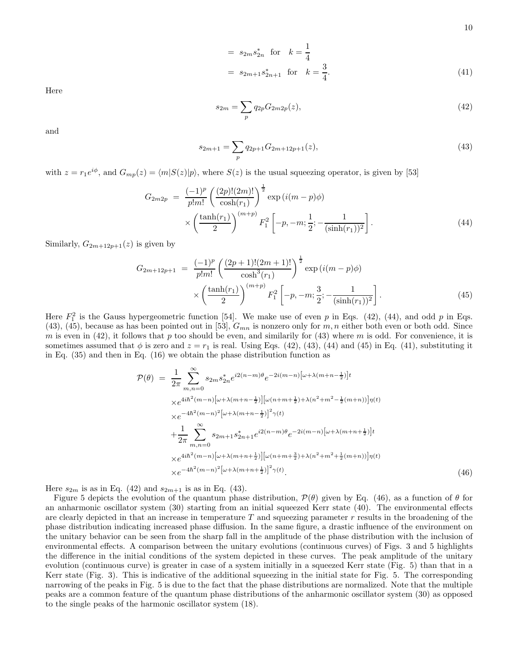10

$$
= s_{2m} s_{2n}^{*} \text{ for } k = \frac{1}{4}
$$
  
=  $s_{2m+1} s_{2n+1}^{*} \text{ for } k = \frac{3}{4}.$  (41)

Here

$$
s_{2m} = \sum_{p} q_{2p} G_{2m2p}(z),
$$
\n(42)

and

$$
s_{2m+1} = \sum_{p} q_{2p+1} G_{2m+12p+1}(z),\tag{43}
$$

with  $z = r_1 e^{i\phi}$ , and  $G_{mp}(z) = \langle m|S(z)|p\rangle$ , where  $S(z)$  is the usual squeezing operator, is given by [53]

$$
G_{2m2p} = \frac{(-1)^p}{p!m!} \left(\frac{(2p)!(2m)!}{\cosh(r_1)}\right)^{\frac{1}{2}} \exp\left(i(m-p)\phi\right) \times \left(\frac{\tanh(r_1)}{2}\right)^{(m+p)} F_1^2 \left[-p, -m; \frac{1}{2}; -\frac{1}{(\sinh(r_1))^2}\right].
$$
\n(44)

Similarly,  $G_{2m+12p+1}(z)$  is given by

$$
G_{2m+12p+1} = \frac{(-1)^p}{p!m!} \left( \frac{(2p+1)!(2m+1)!}{\cosh^3(r_1)} \right)^{\frac{1}{2}} \exp\left(i(m-p)\phi\right)
$$

$$
\times \left( \frac{\tanh(r_1)}{2} \right)^{(m+p)} F_1^2 \left[ -p, -m; \frac{3}{2}; -\frac{1}{(\sinh(r_1))^2} \right]. \tag{45}
$$

Here  $F_1^2$  is the Gauss hypergeometric function [54]. We make use of even p in Eqs. (42), (44), and odd p in Eqs. (43), (45), because as has been pointed out in [53],  $G_{mn}$  is nonzero only for m, n either both even or both odd. Since m is even in (42), it follows that p too should be even, and similarily for (43) where m is odd. For convenience, it is sometimes assumed that  $\phi$  is zero and  $z = r_1$  is real. Using Eqs. (42), (43), (44) and (45) in Eq. (41), substituting it in Eq. (35) and then in Eq. (16) we obtain the phase distribution function as

$$
\mathcal{P}(\theta) = \frac{1}{2\pi} \sum_{m,n=0}^{\infty} s_{2m} s_{2n}^{*} e^{i2(n-m)\theta} e^{-2i(m-n)\left[\omega + \lambda(m+n-\frac{1}{2})\right]t} \times e^{4i\hbar^{2}(m-n)\left[\omega + \lambda(m+n-\frac{1}{2})\right] \left[\omega(n+m+\frac{1}{2}) + \lambda(n^{2}+m^{2}-\frac{1}{2}(m+n))\right] \eta(t)} \times e^{-4\hbar^{2}(m-n)^{2}\left[\omega + \lambda(m+n-\frac{1}{2})\right]^{2} \gamma(t)} \n+ \frac{1}{2\pi} \sum_{m,n=0}^{\infty} s_{2m+1} s_{2n+1}^{*} e^{i2(n-m)\theta} e^{-2i(m-n)\left[\omega + \lambda(m+n+\frac{1}{2})\right]t} \times e^{4i\hbar^{2}(m-n)\left[\omega + \lambda(m+n+\frac{1}{2})\right] \left[\omega(n+m+\frac{3}{2}) + \lambda(n^{2}+m^{2}+\frac{1}{2}(m+n))\right] \eta(t)} \times e^{-4\hbar^{2}(m-n)^{2}\left[\omega + \lambda(m+n+\frac{1}{2})\right]^{2} \gamma(t)}.
$$
\n(46)

Here  $s_{2m}$  is as in Eq. (42) and  $s_{2m+1}$  is as in Eq. (43).

Figure 5 depicts the evolution of the quantum phase distribution,  $\mathcal{P}(\theta)$  given by Eq. (46), as a function of  $\theta$  for an anharmonic oscillator system (30) starting from an initial squeezed Kerr state (40). The environmental effects are clearly depicted in that an increase in temperature  $T$  and squeezing parameter  $r$  results in the broadening of the phase distribution indicating increased phase diffusion. In the same figure, a drastic influence of the environment on the unitary behavior can be seen from the sharp fall in the amplitude of the phase distribution with the inclusion of environmental effects. A comparison between the unitary evolutions (continuous curves) of Figs. 3 and 5 highlights the difference in the initial conditions of the system depicted in these curves. The peak amplitude of the unitary evolution (continuous curve) is greater in case of a system initially in a squeezed Kerr state (Fig. 5) than that in a Kerr state (Fig. 3). This is indicative of the additional squeezing in the initial state for Fig. 5. The corresponding narrowing of the peaks in Fig. 5 is due to the fact that the phase distributions are normalized. Note that the multiple peaks are a common feature of the quantum phase distributions of the anharmonic oscillator system (30) as opposed to the single peaks of the harmonic oscillator system (18).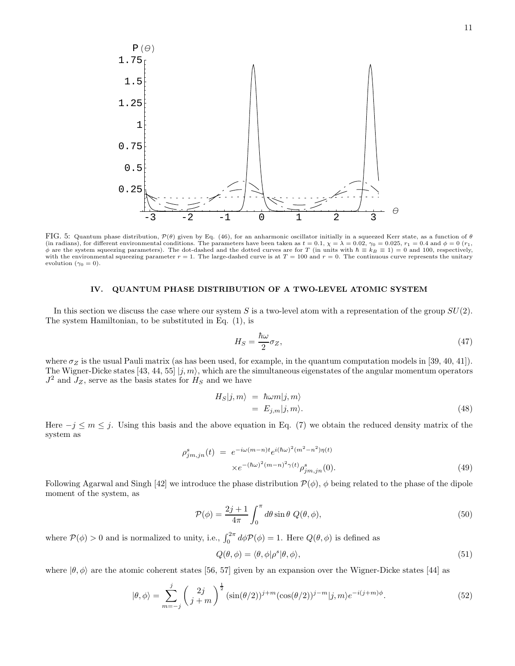

FIG. 5: Quantum phase distribution,  $\mathcal{P}(\theta)$  given by Eq. (46), for an anharmonic oscillator initially in a squeezed Kerr state, as a function of  $\theta$ (in radians), for different environmental conditions. The parameters have been taken as  $t = 0.1$ ,  $\chi = \lambda = 0.02$ ,  $\gamma_0 = 0.025$ ,  $r_1 = 0.4$  and  $\phi = 0$  ( $r_1$ ,  $\phi$  are the system squeezing parameters). The dot-dashed and with the environmental squeezing parameter  $r = 1$ . The large-dashed curve is at  $T = 100$  and  $r = 0$ . The continuous curve represents the unitary evolution ( $\gamma_0 = 0$ ).

### IV. QUANTUM PHASE DISTRIBUTION OF A TWO-LEVEL ATOMIC SYSTEM

In this section we discuss the case where our system S is a two-level atom with a representation of the group  $SU(2)$ . The system Hamiltonian, to be substituted in Eq. (1), is

$$
H_S = \frac{\hbar\omega}{2}\sigma_Z,\tag{47}
$$

where  $\sigma_Z$  is the usual Pauli matrix (as has been used, for example, in the quantum computation models in [39, 40, 41]). The Wigner-Dicke states [43, 44, 55]  $|j, m\rangle$ , which are the simultaneous eigenstates of the angular momentum operators  $J^2$  and  $J_Z$ , serve as the basis states for  $H_S$  and we have

$$
H_S|j,m\rangle = \hbar\omega m|j,m\rangle = E_{j,m}|j,m\rangle.
$$
 (48)

Here  $-j \leq m \leq j$ . Using this basis and the above equation in Eq. (7) we obtain the reduced density matrix of the system as

$$
\rho_{jm,jn}^s(t) = e^{-i\omega(m-n)t} e^{i(\hbar\omega)^2(m^2-n^2)\eta(t)} \times e^{-(\hbar\omega)^2(m-n)^2\gamma(t)} \rho_{jm,jn}^s(0).
$$
\n(49)

Following Agarwal and Singh [42] we introduce the phase distribution  $\mathcal{P}(\phi)$ ,  $\phi$  being related to the phase of the dipole moment of the system, as

$$
\mathcal{P}(\phi) = \frac{2j+1}{4\pi} \int_0^{\pi} d\theta \sin \theta \ Q(\theta, \phi),\tag{50}
$$

where  $P(\phi) > 0$  and is normalized to unity, i.e.,  $\int_0^{2\pi} d\phi P(\phi) = 1$ . Here  $Q(\theta, \phi)$  is defined as

$$
Q(\theta, \phi) = \langle \theta, \phi | \rho^s | \theta, \phi \rangle,\tag{51}
$$

where  $|\theta, \phi\rangle$  are the atomic coherent states [56, 57] given by an expansion over the Wigner-Dicke states [44] as

$$
|\theta,\phi\rangle = \sum_{m=-j}^{j} \left(\begin{array}{c} 2j\\j+m \end{array}\right)^{\frac{1}{2}} (\sin(\theta/2))^{j+m} (\cos(\theta/2))^{j-m} |j,m\rangle e^{-i(j+m)\phi}.
$$
 (52)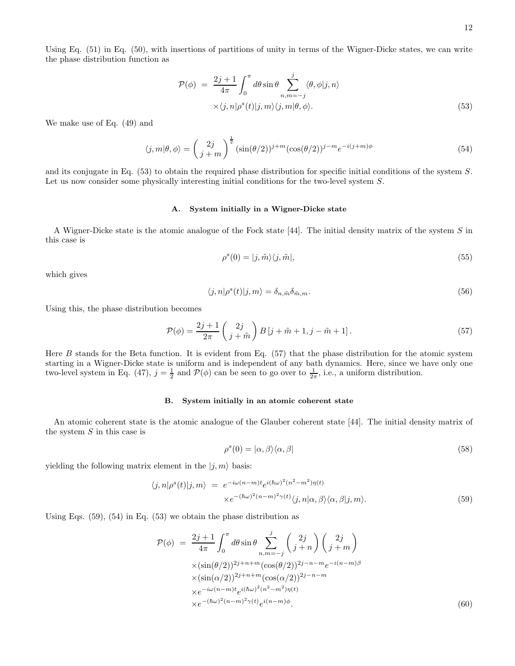Using Eq. (51) in Eq. (50), with insertions of partitions of unity in terms of the Wigner-Dicke states, we can write the phase distribution function as

$$
\mathcal{P}(\phi) = \frac{2j+1}{4\pi} \int_0^{\pi} d\theta \sin \theta \sum_{n,m=-j}^j \langle \theta, \phi | j, n \rangle
$$
  
 
$$
\times \langle j, n | \rho^s(t) | j, m \rangle \langle j, m | \theta, \phi \rangle.
$$
 (53)

We make use of Eq. (49) and

$$
\langle j,m|\theta,\phi\rangle = \left(\begin{matrix}2j\\j+m\end{matrix}\right)^{\frac{1}{2}}(\sin(\theta/2))^{j+m}(\cos(\theta/2))^{j-m}e^{-i(j+m)\phi}
$$
(54)

and its conjugate in Eq. (53) to obtain the required phase distribution for specific initial conditions of the system S. Let us now consider some physically interesting initial conditions for the two-level system S.

# A. System initially in a Wigner-Dicke state

A Wigner-Dicke state is the atomic analogue of the Fock state [44]. The initial density matrix of the system S in this case is

$$
\rho^s(0) = |j, \tilde{m}\rangle\langle j, \tilde{m}|,\tag{55}
$$

which gives

$$
\langle j, n | \rho^s(t) | j, m \rangle = \delta_{n, \tilde{m}} \delta_{\tilde{m}, m}.
$$
\n(56)

Using this, the phase distribution becomes

$$
\mathcal{P}(\phi) = \frac{2j+1}{2\pi} \begin{pmatrix} 2j \\ j+\tilde{m} \end{pmatrix} B\left[j+\tilde{m}+1,j-\tilde{m}+1\right].\tag{57}
$$

Here  $B$  stands for the Beta function. It is evident from Eq.  $(57)$  that the phase distribution for the atomic system starting in a Wigner-Dicke state is uniform and is independent of any bath dynamics. Here, since we have only one two-level system in Eq. (47),  $j = \frac{1}{2}$  and  $\mathcal{P}(\phi)$  can be seen to go over to  $\frac{1}{2\pi}$ , i.e., a uniform distribution.

#### B. System initially in an atomic coherent state

An atomic coherent state is the atomic analogue of the Glauber coherent state [44]. The initial density matrix of the system  $S$  in this case is

$$
\rho^s(0) = |\alpha, \beta\rangle\langle\alpha, \beta| \tag{58}
$$

yielding the following matrix element in the  $|j, m\rangle$  basis:

$$
\langle j, n | \rho^{s}(t) | j, m \rangle = e^{-i\omega(n-m)t} e^{i(\hbar\omega)^{2}(n^{2}-m^{2})\eta(t)} \times e^{-(\hbar\omega)^{2}(n-m)^{2}\gamma(t)} \langle j, n | \alpha, \beta \rangle \langle \alpha, \beta | j, m \rangle.
$$
\n(59)

Using Eqs.  $(59)$ ,  $(54)$  in Eq.  $(53)$  we obtain the phase distribution as

$$
\mathcal{P}(\phi) = \frac{2j+1}{4\pi} \int_0^{\pi} d\theta \sin \theta \sum_{n,m=-j}^j \binom{2j}{j+n} \binom{2j}{j+m} \times (\sin(\theta/2))^{2j+n+m} (\cos(\theta/2))^{2j-n-m} e^{-i(n-m)\beta} \times (\sin(\alpha/2))^{2j+n+m} (\cos(\alpha/2))^{2j-n-m} \times e^{-i\omega(n-m)t} e^{i(\hbar\omega)^2(n^2-m^2)\eta(t)} \times e^{-(\hbar\omega)^2(n-m)^2\gamma(t)} e^{i(n-m)\phi}.
$$
\n(60)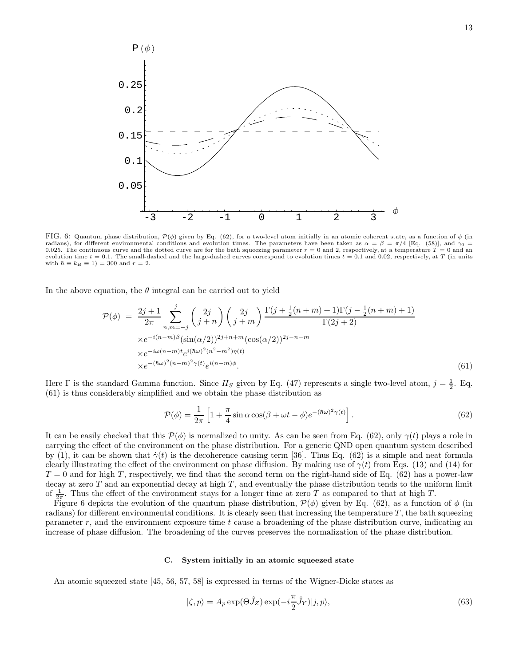

FIG. 6: Quantum phase distribution,  $\mathcal{P}(\phi)$  given by Eq. (62), for a two-level atom initially in an atomic coherent state, as a function of  $\phi$  (in radians), for different environmental conditions and evolution times. The parameters have been taken as  $\alpha = \beta = \pi/4$  [Eq. (58)], and  $\gamma_0$ 0.025. The continuous curve and the dotted curve are for the bath squeezing parameter  $r = 0$  and 2, respectively, at a temperature  $T = 0$  and an evolution time  $t = 0.1$ . The small-dashed and the large-dashed curves correspond to evolution times  $t = 0.1$  and 0.02, respectively, at T (in units with  $\hbar \equiv k_B \equiv 1$ ) = 300 and  $r = 2$ .

In the above equation, the  $\theta$  integral can be carried out to yield

$$
\mathcal{P}(\phi) = \frac{2j+1}{2\pi} \sum_{n,m=-j}^{j} {2j \choose j+n} {2j \choose j+m} \frac{\Gamma(j+\frac{1}{2}(n+m)+1)\Gamma(j-\frac{1}{2}(n+m)+1)}{\Gamma(2j+2)} \times e^{-i(n-m)\beta} (\sin(\alpha/2))^{2j+n+m} (\cos(\alpha/2))^{2j-n-m} \times e^{-i\omega(n-m)t} e^{i(\hbar\omega)^2(n^2-m^2)\eta(t)} \times e^{-(\hbar\omega)^2(n-m)^2\gamma(t)} e^{i(n-m)\phi}.
$$
\n(61)

Here  $\Gamma$  is the standard Gamma function. Since  $H_S$  given by Eq. (47) represents a single two-level atom,  $j = \frac{1}{2}$ . Eq. (61) is thus considerably simplified and we obtain the phase distribution as

$$
\mathcal{P}(\phi) = \frac{1}{2\pi} \left[ 1 + \frac{\pi}{4} \sin \alpha \cos(\beta + \omega t - \phi) e^{-(\hbar\omega)^2 \gamma(t)} \right].
$$
\n(62)

It can be easily checked that this  $\mathcal{P}(\phi)$  is normalized to unity. As can be seen from Eq. (62), only  $\gamma(t)$  plays a role in carrying the effect of the environment on the phase distribution. For a generic QND open quantum system described by (1), it can be shown that  $\dot{\gamma}(t)$  is the decoherence causing term [36]. Thus Eq. (62) is a simple and neat formula clearly illustrating the effect of the environment on phase diffusion. By making use of  $\gamma(t)$  from Eqs. (13) and (14) for  $T = 0$  and for high T, respectively, we find that the second term on the right-hand side of Eq. (62) has a power-law decay at zero  $T$  and an exponential decay at high  $T$ , and eventually the phase distribution tends to the uniform limit of  $\frac{1}{2\pi}$ . Thus the effect of the environment stays for a longer time at zero T as compared to that at high T.

Figure 6 depicts the evolution of the quantum phase distribution,  $\mathcal{P}(\phi)$  given by Eq. (62), as a function of  $\phi$  (in radians) for different environmental conditions. It is clearly seen that increasing the temperature  $T$ , the bath squeezing parameter  $r$ , and the environment exposure time  $t$  cause a broadening of the phase distribution curve, indicating an increase of phase diffusion. The broadening of the curves preserves the normalization of the phase distribution.

# C. System initially in an atomic squeezed state

An atomic squeezed state [45, 56, 57, 58] is expressed in terms of the Wigner-Dicke states as

$$
|\zeta, p\rangle = A_p \exp(\Theta \hat{J}_Z) \exp(-i\frac{\pi}{2} \hat{J}_Y)|j, p\rangle,
$$
\n(63)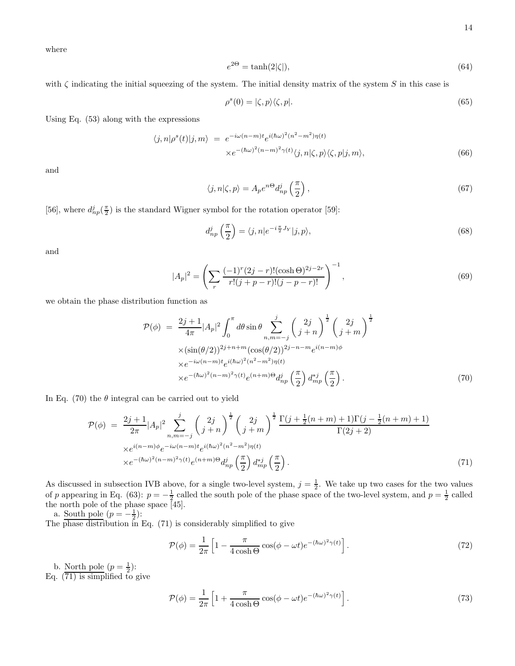where

$$
e^{2\Theta} = \tanh(2|\zeta|),\tag{64}
$$

with  $\zeta$  indicating the initial squeezing of the system. The initial density matrix of the system S in this case is

$$
\rho^s(0) = |\zeta, p\rangle\langle\zeta, p|.\tag{65}
$$

Using Eq. (53) along with the expressions

$$
\langle j, n | \rho^{s}(t) | j, m \rangle = e^{-i\omega(n-m)t} e^{i(\hbar\omega)^{2}(n^{2}-m^{2})\eta(t)} \times e^{-(\hbar\omega)^{2}(n-m)^{2}\gamma(t)} \langle j, n | \zeta, p \rangle \langle \zeta, p | j, m \rangle,
$$
\n(66)

and

$$
\langle j, n | \zeta, p \rangle = A_p e^{n\Theta} d_{np}^j \left( \frac{\pi}{2} \right),\tag{67}
$$

[56], where  $d_{np}^j(\frac{\pi}{2})$  is the standard Wigner symbol for the rotation operator [59]:

$$
d_{np}^j\left(\frac{\pi}{2}\right) = \langle j, n | e^{-i\frac{\pi}{2}J_Y} | j, p \rangle, \tag{68}
$$

and

$$
|A_p|^2 = \left(\sum_r \frac{(-1)^r (2j - r)!(\cosh \Theta)^{2j - 2r}}{r!(j + p - r)!(j - p - r)!}\right)^{-1},\tag{69}
$$

we obtain the phase distribution function as

$$
\mathcal{P}(\phi) = \frac{2j+1}{4\pi} |A_p|^2 \int_0^{\pi} d\theta \sin \theta \sum_{n,m=-j}^j \left(\frac{2j}{j+n}\right)^{\frac{1}{2}} \left(\frac{2j}{j+m}\right)^{\frac{1}{2}}
$$
  
 
$$
\times (\sin(\theta/2))^{2j+n+m} (\cos(\theta/2))^{2j-n-m} e^{i(n-m)\phi}
$$
  
 
$$
\times e^{-i\omega(n-m)t} e^{i(\hbar\omega)^2(n^2-m^2)\eta(t)}
$$
  
 
$$
\times e^{-(\hbar\omega)^2(n-m)^2 \gamma(t)} e^{(n+m)\Theta} d_{np}^j \left(\frac{\pi}{2}\right) d_{mp}^{*j} \left(\frac{\pi}{2}\right).
$$
 (70)

In Eq. (70) the  $\theta$  integral can be carried out to yield

$$
\mathcal{P}(\phi) = \frac{2j+1}{2\pi} |A_p|^2 \sum_{n,m=-j}^j \left(\frac{2j}{j+n}\right)^{\frac{1}{2}} \left(\frac{2j}{j+m}\right)^{\frac{1}{2}} \frac{\Gamma(j+\frac{1}{2}(n+m)+1)\Gamma(j-\frac{1}{2}(n+m)+1)}{\Gamma(2j+2)} \times e^{i(n-m)\phi} e^{-i\omega(n-m)t} e^{i(\hbar\omega)^2(n^2-m^2)\eta(t)} \times e^{-(\hbar\omega)^2(n-m)^2\gamma(t)} e^{(n+m)\Theta} d_{np}^j\left(\frac{\pi}{2}\right) d_{mp}^{*j}\left(\frac{\pi}{2}\right).
$$
\n(71)

As discussed in subsection IVB above, for a single two-level system,  $j = \frac{1}{2}$ . We take up two cases for the two values of p appearing in Eq. (63):  $p = -\frac{1}{2}$  called the south pole of the phase space of the two-level system, and  $p = \frac{1}{2}$  called the north pole of the phase space [45].

a. South pole  $(p=-\frac{1}{2})$ :

The phase distribution in Eq. (71) is considerably simplified to give

$$
\mathcal{P}(\phi) = \frac{1}{2\pi} \left[ 1 - \frac{\pi}{4\cosh\Theta} \cos(\phi - \omega t) e^{-(\hbar\omega)^2 \gamma(t)} \right].
$$
\n(72)

b. North pole  $(p=\frac{1}{2})$ :

Eq. (71) is simplified to give

$$
\mathcal{P}(\phi) = \frac{1}{2\pi} \left[ 1 + \frac{\pi}{4\cosh\Theta} \cos(\phi - \omega t) e^{-(\hbar\omega)^2 \gamma(t)} \right].
$$
\n(73)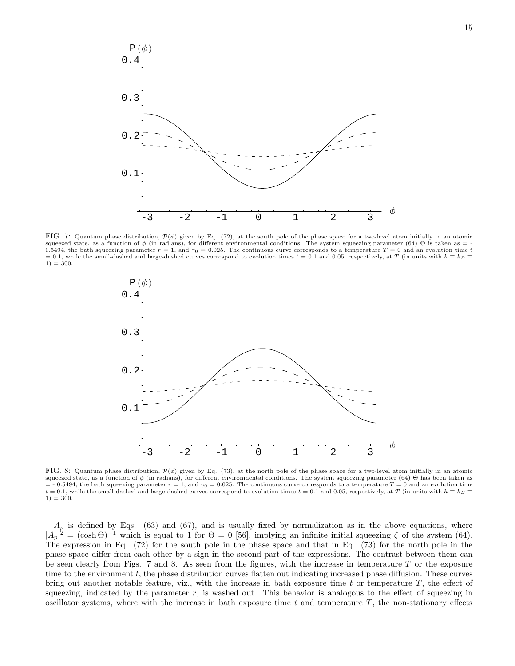

FIG. 7: Quantum phase distribution,  $\mathcal{P}(\phi)$  given by Eq. (72), at the south pole of the phase space for a two-level atom initially in an atomic squeezed state, as a function of  $\phi$  (in radians), for different environmental conditions. The system squeezing parameter (64) Θ is taken as = 0.5494, the bath squeezing parameter  $r = 1$ , and  $\gamma_0 = 0.025$ . The continuous curve corresponds to a temperature  $T = 0$  and an evolution time t = 0.1, while the small-dashed and large-dashed curves correspond to evolution times  $t = 0.1$  and 0.05, respectively, at T (in units with  $\hbar \equiv k_B \equiv$  $1) = 300.$ 



FIG. 8: Quantum phase distribution,  $\mathcal{P}(\phi)$  given by Eq. (73), at the north pole of the phase space for a two-level atom initially in an atomic squeezed state, as a function of  $\phi$  (in radians), for different environmental conditions. The system squeezing parameter (64) Θ has been taken as  $=$  - 0.5494, the bath squeezing parameter  $r = 1$ , and  $\gamma_0 = 0.025$ . The continuous curve corresponds to a temperature  $T = 0$  and an evolution time t = 0.1, while the small-dashed and large-dashed curves correspond to evolution times t = 0.1 and 0.05, respectively, at T (in units with  $\hbar \equiv k_B \equiv$  $1) = 300.$ 

 $A_p$  is defined by Eqs. (63) and (67), and is usually fixed by normalization as in the above equations, where  $|A_p|^2 = (\cosh \Theta)^{-1}$  which is equal to 1 for  $\Theta = 0$  [56], implying an infinite initial squeezing  $\zeta$  of the system (64). The expression in Eq. (72) for the south pole in the phase space and that in Eq. (73) for the north pole in the phase space differ from each other by a sign in the second part of the expressions. The contrast between them can be seen clearly from Figs. 7 and 8. As seen from the figures, with the increase in temperature  $T$  or the exposure time to the environment  $t$ , the phase distribution curves flatten out indicating increased phase diffusion. These curves bring out another notable feature, viz., with the increase in bath exposure time  $t$  or temperature  $T$ , the effect of squeezing, indicated by the parameter  $r$ , is washed out. This behavior is analogous to the effect of squeezing in oscillator systems, where with the increase in bath exposure time  $t$  and temperature  $T$ , the non-stationary effects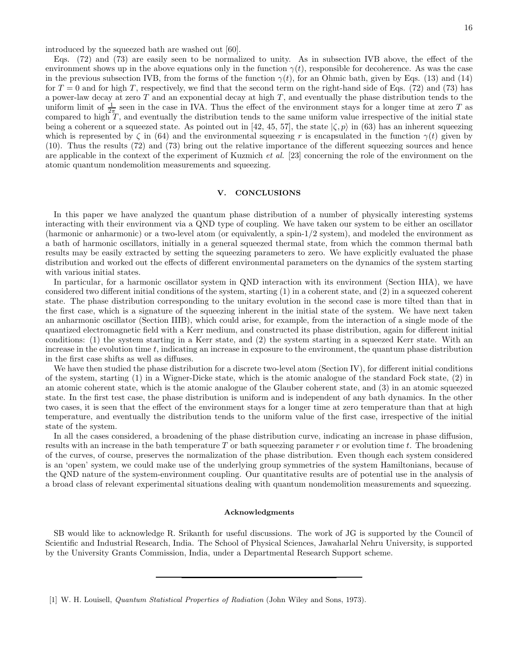introduced by the squeezed bath are washed out [60].

Eqs. (72) and (73) are easily seen to be normalized to unity. As in subsection IVB above, the effect of the environment shows up in the above equations only in the function  $\gamma(t)$ , responsible for decoherence. As was the case in the previous subsection IVB, from the forms of the function  $\gamma(t)$ , for an Ohmic bath, given by Eqs. (13) and (14) for  $T = 0$  and for high T, respectively, we find that the second term on the right-hand side of Eqs. (72) and (73) has a power-law decay at zero  $T$  and an exponential decay at high  $T$ , and eventually the phase distribution tends to the uniform limit of  $\frac{1}{2\pi}$  seen in the case in IVA. Thus the effect of the environment stays for a longer time at zero T as compared to high  $T$ , and eventually the distribution tends to the same uniform value irrespective of the initial state being a coherent or a squeezed state. As pointed out in [42, 45, 57], the state  $|\zeta, p\rangle$  in (63) has an inherent squeezing which is represented by  $\zeta$  in (64) and the environmental squeezing r is encapsulated in the function  $\gamma(t)$  given by (10). Thus the results (72) and (73) bring out the relative importance of the different squeezing sources and hence are applicable in the context of the experiment of Kuzmich et al. [23] concerning the role of the environment on the atomic quantum nondemolition measurements and squeezing.

# V. CONCLUSIONS

In this paper we have analyzed the quantum phase distribution of a number of physically interesting systems interacting with their environment via a QND type of coupling. We have taken our system to be either an oscillator (harmonic or anharmonic) or a two-level atom (or equivalently, a spin-1/2 system), and modeled the environment as a bath of harmonic oscillators, initially in a general squeezed thermal state, from which the common thermal bath results may be easily extracted by setting the squeezing parameters to zero. We have explicitly evaluated the phase distribution and worked out the effects of different environmental parameters on the dynamics of the system starting with various initial states.

In particular, for a harmonic oscillator system in QND interaction with its environment (Section IIIA), we have considered two different initial conditions of the system, starting (1) in a coherent state, and (2) in a squeezed coherent state. The phase distribution corresponding to the unitary evolution in the second case is more tilted than that in the first case, which is a signature of the squeezing inherent in the initial state of the system. We have next taken an anharmonic oscillator (Section IIIB), which could arise, for example, from the interaction of a single mode of the quantized electromagnetic field with a Kerr medium, and constructed its phase distribution, again for different initial conditions: (1) the system starting in a Kerr state, and (2) the system starting in a squeezed Kerr state. With an increase in the evolution time  $t$ , indicating an increase in exposure to the environment, the quantum phase distribution in the first case shifts as well as diffuses.

We have then studied the phase distribution for a discrete two-level atom (Section IV), for different initial conditions of the system, starting (1) in a Wigner-Dicke state, which is the atomic analogue of the standard Fock state, (2) in an atomic coherent state, which is the atomic analogue of the Glauber coherent state, and (3) in an atomic squeezed state. In the first test case, the phase distribution is uniform and is independent of any bath dynamics. In the other two cases, it is seen that the effect of the environment stays for a longer time at zero temperature than that at high temperature, and eventually the distribution tends to the uniform value of the first case, irrespective of the initial state of the system.

In all the cases considered, a broadening of the phase distribution curve, indicating an increase in phase diffusion, results with an increase in the bath temperature T or bath squeezing parameter r or evolution time t. The broadening of the curves, of course, preserves the normalization of the phase distribution. Even though each system considered is an 'open' system, we could make use of the underlying group symmetries of the system Hamiltonians, because of the QND nature of the system-environment coupling. Our quantitative results are of potential use in the analysis of a broad class of relevant experimental situations dealing with quantum nondemolition measurements and squeezing.

#### Acknowledgments

SB would like to acknowledge R. Srikanth for useful discussions. The work of JG is supported by the Council of Scientific and Industrial Research, India. The School of Physical Sciences, Jawaharlal Nehru University, is supported by the University Grants Commission, India, under a Departmental Research Support scheme.

<sup>[1]</sup> W. H. Louisell, Quantum Statistical Properties of Radiation (John Wiley and Sons, 1973).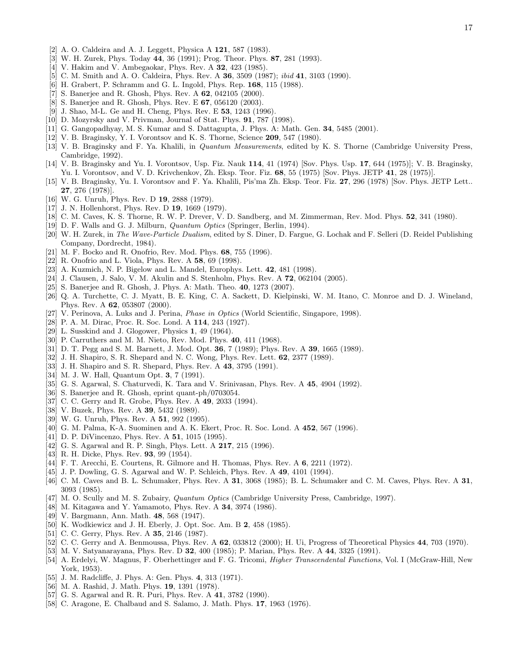- [2] A. O. Caldeira and A. J. Leggett, Physica A 121, 587 (1983).
- [3] W. H. Zurek, Phys. Today 44, 36 (1991); Prog. Theor. Phys. 87, 281 (1993).
- [4] V. Hakim and V. Ambegaokar, Phys. Rev. A **32**, 423 (1985).
- [5] C. M. Smith and A. O. Caldeira, Phys. Rev. A **36**, 3509 (1987); *ibid* 41, 3103 (1990).
- [6] H. Grabert, P. Schramm and G. L. Ingold, Phys. Rep. 168, 115 (1988).
- $[7]$  S. Banerjee and R. Ghosh, Phys. Rev. A  $62$ , 042105 (2000).
- [8] S. Banerjee and R. Ghosh, Phys. Rev. E 67, 056120 (2003).
- [9] J. Shao, M-L. Ge and H. Cheng, Phys. Rev. E 53, 1243 (1996).
- [10] D. Mozyrsky and V. Privman, Journal of Stat. Phys. 91, 787 (1998).
- [11] G. Gangopadhyay, M. S. Kumar and S. Dattagupta, J. Phys. A: Math. Gen. 34, 5485 (2001).
- [12] V. B. Braginsky, Y. I. Vorontsov and K. S. Thorne, Science 209, 547 (1980).
- [13] V. B. Braginsky and F. Ya. Khalili, in *Quantum Measurements*, edited by K. S. Thorne (Cambridge University Press, Cambridge, 1992).
- [14] V. B. Braginsky and Yu. I. Vorontsov, Usp. Fiz. Nauk 114, 41 (1974) [Sov. Phys. Usp. 17, 644 (1975)]; V. B. Braginsky, Yu. I. Vorontsov, and V. D. Krivchenkov, Zh. Eksp. Teor. Fiz. 68, 55 (1975) [Sov. Phys. JETP 41, 28 (1975)].
- [15] V. B. Braginsky, Yu. I. Vorontsov and F. Ya. Khalili, Pis'ma Zh. Eksp. Teor. Fiz. 27, 296 (1978) [Sov. Phys. JETP Lett.. 27, 276 (1978)].
- [16] W. G. Unruh, Phys. Rev. D 19, 2888 (1979).
- [17] J. N. Hollenhorst, Phys. Rev. D **19**, 1669 (1979).
- [18] C. M. Caves, K. S. Thorne, R. W. P. Drever, V. D. Sandberg, and M. Zimmerman, Rev. Mod. Phys. 52, 341 (1980).
- [19] D. F. Walls and G. J. Milburn, *Quantum Optics* (Springer, Berlin, 1994).
- [20] W. H. Zurek, in The Wave-Particle Dualism, edited by S. Diner, D. Fargue, G. Lochak and F. Selleri (D. Reidel Publishing Company, Dordrecht, 1984).
- [21] M. F. Bocko and R. Onofrio, Rev. Mod. Phys. 68, 755 (1996).
- [22] R. Onofrio and L. Viola, Phys. Rev. A 58, 69 (1998).
- [23] A. Kuzmich, N. P. Bigelow and L. Mandel, Europhys. Lett. 42, 481 (1998).
- [24] J. Clausen, J. Salo, V. M. Akulin and S. Stenholm, Phys. Rev. A 72, 062104 (2005).
- [25] S. Banerjee and R. Ghosh, J. Phys. A: Math. Theo. 40, 1273 (2007).
- [26] Q. A. Turchette, C. J. Myatt, B. E. King, C. A. Sackett, D. Kielpinski, W. M. Itano, C. Monroe and D. J. Wineland, Phys. Rev. A 62, 053807 (2000).
- [27] V. Perinova, A. Luks and J. Perina, *Phase in Optics* (World Scientific, Singapore, 1998).
- [28] P. A. M. Dirac, Proc. R. Soc. Lond. A 114, 243 (1927).
- [29] L. Susskind and J. Glogower, Physics 1, 49 (1964).
- [30] P. Carruthers and M. M. Nieto, Rev. Mod. Phys. 40, 411 (1968).
- [31] D. T. Pegg and S. M. Barnett, J. Mod. Opt. 36, 7 (1989); Phys. Rev. A 39, 1665 (1989).
- [32] J. H. Shapiro, S. R. Shepard and N. C. Wong, Phys. Rev. Lett. 62, 2377 (1989).
- [33] J. H. Shapiro and S. R. Shepard, Phys. Rev. A 43, 3795 (1991).
- [34] M. J. W. Hall, Quantum Opt. **3**, 7 (1991).
- [35] G. S. Agarwal, S. Chaturvedi, K. Tara and V. Srinivasan, Phys. Rev. A 45, 4904 (1992).
- [36] S. Banerjee and R. Ghosh, eprint quant-ph/0703054.
- [37] C. C. Gerry and R. Grobe, Phys. Rev. A 49, 2033 (1994).
- [38] V. Buzek, Phys. Rev. A **39**, 5432 (1989).
- [39] W. G. Unruh, Phys. Rev. A **51**, 992 (1995).
- [40] G. M. Palma, K-A. Suominen and A. K. Ekert, Proc. R. Soc. Lond. A 452, 567 (1996).
- [41] D. P. DiVincenzo, Phys. Rev. A 51, 1015 (1995).
- [42] G. S. Agarwal and R. P. Singh, Phys. Lett. A **217**, 215 (1996).
- [43] R. H. Dicke, Phys. Rev. **93**, 99 (1954).
- [44] F. T. Arecchi, E. Courtens, R. Gilmore and H. Thomas, Phys. Rev. A 6, 2211 (1972).
- [45] J. P. Dowling, G. S. Agarwal and W. P. Schleich, Phys. Rev. A 49, 4101 (1994).
- [46] C. M. Caves and B. L. Schumaker, Phys. Rev. A 31, 3068 (1985); B. L. Schumaker and C. M. Caves, Phys. Rev. A 31, 3093 (1985).
- [47] M. O. Scully and M. S. Zubairy, *Quantum Optics* (Cambridge University Press, Cambridge, 1997).
- [48] M. Kitagawa and Y. Yamamoto, Phys. Rev. A 34, 3974 (1986).
- [49] V. Bargmann, Ann. Math. 48, 568 (1947).
- [50] K. Wodkiewicz and J. H. Eberly, J. Opt. Soc. Am. B 2, 458 (1985).
- [51] C. C. Gerry, Phys. Rev. A **35**, 2146 (1987).
- [52] C. C. Gerry and A. Benmoussa, Phys. Rev. A 62, 033812 (2000); H. Ui, Progress of Theoretical Physics 44, 703 (1970).
- [53] M. V. Satyanarayana, Phys. Rev. D 32, 400 (1985); P. Marian, Phys. Rev. A 44, 3325 (1991).
- [54] A. Erdelyi, W. Magnus, F. Oberhettinger and F. G. Tricomi, Higher Transcendental Functions, Vol. I (McGraw-Hill, New York, 1953).
- [55] J. M. Radcliffe, J. Phys. A: Gen. Phys. 4, 313 (1971).
- [56] M. A. Rashid, J. Math. Phys. 19, 1391 (1978).
- [57] G. S. Agarwal and R. R. Puri, Phys. Rev. A 41, 3782 (1990).
- [58] C. Aragone, E. Chalbaud and S. Salamo, J. Math. Phys. 17, 1963 (1976).